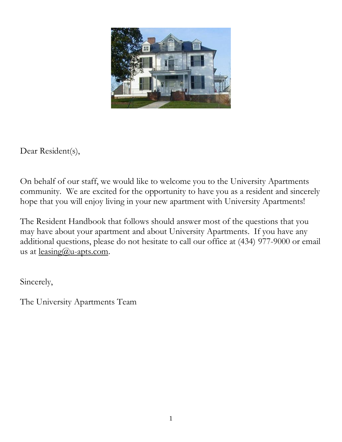

Dear Resident(s),

On behalf of our staff, we would like to welcome you to the University Apartments community. We are excited for the opportunity to have you as a resident and sincerely hope that you will enjoy living in your new apartment with University Apartments!

The Resident Handbook that follows should answer most of the questions that you may have about your apartment and about University Apartments. If you have any additional questions, please do not hesitate to call our office at (434) 977-9000 or email us at  $leasing@u-apts.com$ .</u>

Sincerely,

The University Apartments Team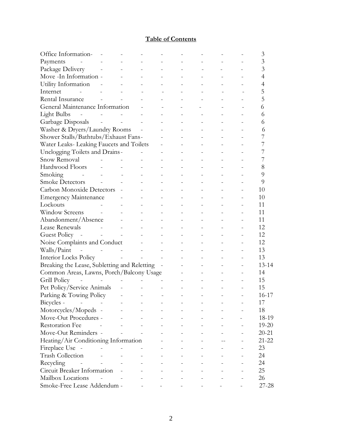## **Table of Contents**

| Office Information-                          |  |  |  |  | 3              |
|----------------------------------------------|--|--|--|--|----------------|
| Payments                                     |  |  |  |  | 3              |
| Package Delivery                             |  |  |  |  | 3              |
| Move -In Information -                       |  |  |  |  | $\overline{4}$ |
| Utility Information                          |  |  |  |  | 4              |
| Internet                                     |  |  |  |  | 5              |
| Rental Insurance                             |  |  |  |  | 5              |
| General Maintenance Information              |  |  |  |  | 6              |
| <b>Light Bulbs</b>                           |  |  |  |  | 6              |
| Garbage Disposals                            |  |  |  |  | 6              |
| Washer & Dryers/Laundry Rooms                |  |  |  |  | 6              |
| Shower Stalls/Bathtubs/Exhaust Fans-         |  |  |  |  | 7              |
| Water Leaks- Leaking Faucets and Toilets     |  |  |  |  |                |
| Unclogging Toilets and Drains-               |  |  |  |  | 7              |
| Snow Removal                                 |  |  |  |  | 7              |
| Hardwood Floors                              |  |  |  |  | 8              |
| Smoking                                      |  |  |  |  | 9              |
| <b>Smoke Detectors</b>                       |  |  |  |  | 9              |
| Carbon Monoxide Detectors                    |  |  |  |  | 10             |
| <b>Emergency Maintenance</b>                 |  |  |  |  | 10             |
| Lockouts                                     |  |  |  |  | 11             |
| <b>Window Screens</b>                        |  |  |  |  | 11             |
| Abandonment/Absence                          |  |  |  |  | 11             |
| Lease Renewals                               |  |  |  |  | 12             |
| Guest Policy -                               |  |  |  |  | 12             |
| Noise Complaints and Conduct                 |  |  |  |  | 12             |
| Walls/Paint                                  |  |  |  |  | 13             |
| Interior Locks Policy                        |  |  |  |  | 13             |
| Breaking the Lease, Subletting and Reletting |  |  |  |  | $13 - 14$      |
| Common Areas, Lawns, Porch/Balcony Usage     |  |  |  |  | 14             |
| Grill Policy                                 |  |  |  |  | 15             |
| Pet Policy/Service Animals                   |  |  |  |  | 15             |
| Parking & Towing Policy                      |  |  |  |  | 16-17          |
| Bicycles -                                   |  |  |  |  | 17             |
| Motorcycles/Mopeds -                         |  |  |  |  | 18             |
| Move-Out Procedures -                        |  |  |  |  | 18-19          |
| Restoration Fee                              |  |  |  |  | $19 - 20$      |
| Move-Out Reminders -                         |  |  |  |  | $20 - 21$      |
| Heating/Air Conditioning Information         |  |  |  |  | 21-22          |
| Fireplace Use -                              |  |  |  |  | 23             |
| <b>Trash Collection</b>                      |  |  |  |  | 24             |
| Recycling                                    |  |  |  |  | 24             |
| Circuit Breaker Information                  |  |  |  |  | 25             |
| Mailbox Locations                            |  |  |  |  | 26             |
| Smoke-Free Lease Addendum -                  |  |  |  |  | $27 - 28$      |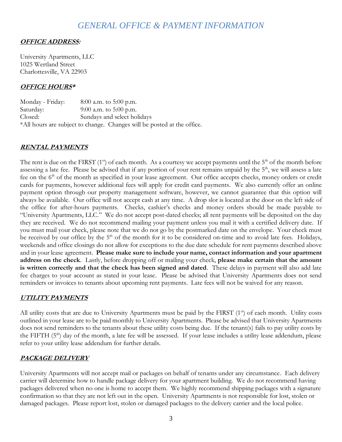## *GENERAL OFFICE & PAYMENT INFORMATION*

#### **OFFICE ADDRESS:**

University Apartments, LLC 1025 Wertland Street Charlottesville, VA 22903

#### **OFFICE HOURS\***

Monday - Friday: 8:00 a.m. to 5:00 p.m. Saturday: 9:00 a.m. to 5:00 p.m. Closed: Sundays and select holidays \*All hours are subject to change. Changes will be posted at the office.

#### **RENTAL PAYMENTS**

The rent is due on the FIRST ( $1<sup>st</sup>$ ) of each month. As a courtesy we accept payments until the  $5<sup>th</sup>$  of the month before assessing a late fee. Please be advised that if any portion of your rent remains unpaid by the  $5<sup>th</sup>$ , we will assess a late fee on the 6<sup>th</sup> of the month as specified in your lease agreement. Our office accepts checks, money orders or credit cards for payments, however additional fees will apply for credit card payments. We also currently offer an online payment option through our property management software, however, we cannot guarantee that this option will always be available. Our office will not accept cash at any time. A drop slot is located at the door on the left side of the office for after-hours payments. Checks, cashier's checks and money orders should be made payable to "University Apartments, LLC." We do not accept post-dated checks; all rent payments will be deposited on the day they are received. We do not recommend mailing your payment unless you mail it with a certified delivery date. If you must mail your check, please note that we do not go by the postmarked date on the envelope. Your check must be received by our office by the  $5<sup>th</sup>$  of the month for it to be considered on-time and to avoid late fees. Holidays, weekends and office closings do not allow for exceptions to the due date schedule for rent payments described above and in your lease agreement. **Please make sure to include your name, contact information and your apartment address on the check**. Lastly, before dropping off or mailing your check, **please make certain that the amount is written correctly and that the check has been signed and dated**. These delays in payment will also add late fee charges to your account as stated in your lease. Please be advised that University Apartments does not send reminders or invoices to tenants about upcoming rent payments. Late fees will not be waived for any reason.

#### **UTILITY PAYMENTS**

All utility costs that are due to University Apartments must be paid by the FIRST (1st) of each month. Utility costs outlined in your lease are to be paid monthly to University Apartments. Please be advised that University Apartments does not send reminders to the tenants about these utility costs being due. If the tenant(s) fails to pay utility costs by the FIFTH  $(5<sup>th</sup>)$  day of the month, a late fee will be assessed. If your lease includes a utility lease addendum, please refer to your utility lease addendum for further details.

#### **PACKAGE DELIVERY**

University Apartments will not accept mail or packages on behalf of tenants under any circumstance. Each delivery carrier will determine how to handle package delivery for your apartment building. We do not recommend having packages delivered when no one is home to accept them. We highly recommend shipping packages with a signature confirmation so that they are not left out in the open. University Apartments is not responsible for lost, stolen or damaged packages. Please report lost, stolen or damaged packages to the delivery carrier and the local police.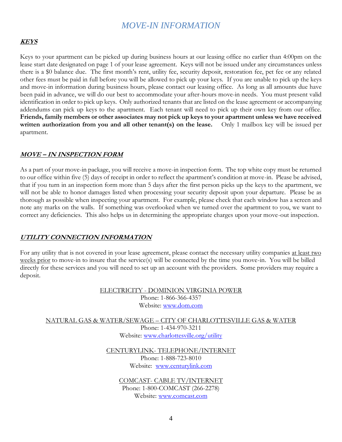## *MOVE-IN INFORMATION*

#### **KEYS**

Keys to your apartment can be picked up during business hours at our leasing office no earlier than 4:00pm on the lease start date designated on page 1 of your lease agreement. Keys will not be issued under any circumstances unless there is a \$0 balance due. The first month's rent, utility fee, security deposit, restoration fee, pet fee or any related other fees must be paid in full before you will be allowed to pick up your keys. If you are unable to pick up the keys and move-in information during business hours, please contact our leasing office. As long as all amounts due have been paid in advance, we will do our best to accommodate your after-hours move-in needs. You must present valid identification in order to pick up keys. Only authorized tenants that are listed on the lease agreement or accompanying addendums can pick up keys to the apartment. Each tenant will need to pick up their own key from our office. **Friends, family members or other associates may not pick up keys to your apartment unless we have received written authorization from you and all other tenant(s) on the lease.** Only 1 mailbox key will be issued per apartment.

#### **MOVE – IN INSPECTION FORM**

As a part of your move-in package, you will receive a move-in inspection form. The top white copy must be returned to our office within five (5) days of receipt in order to reflect the apartment's condition at move-in. Please be advised, that if you turn in an inspection form more than 5 days after the first person picks up the keys to the apartment, we will not be able to honor damages listed when processing your security deposit upon your departure. Please be as thorough as possible when inspecting your apartment. For example, please check that each window has a screen and note any marks on the walls. If something was overlooked when we turned over the apartment to you, we want to correct any deficiencies. This also helps us in determining the appropriate charges upon your move-out inspection.

#### **UTILITY CONNECTION INFORMATION**

For any utility that is not covered in your lease agreement, please contact the necessary utility companies at least two weeks prior to move-in to insure that the service(s) will be connected by the time you move-in. You will be billed directly for these services and you will need to set up an account with the providers. Some providers may require a deposit.

> ELECTRICITY - DOMINION VIRGINIA POWER Phone: 1-866-366-4357 Website: [www.dom.com](http://www.dom.com/)

NATURAL GAS & WATER/SEWAGE – CITY OF CHARLOTTESVILLE GAS & WATER Phone: 1-434-970-3211 Website: [www.charlottesville.org/utility](http://www.charlottesville.org/utility)

> CENTURYLINK- TELEPHONE/INTERNET Phone: 1-888-723-8010 Website: [www.centurylink.com](http://www.centurylink.com/)

COMCAST- CABLE TV/INTERNET Phone: 1-800-COMCAST (266-2278) Website: [www.comcast.com](http://www.comcast.com/)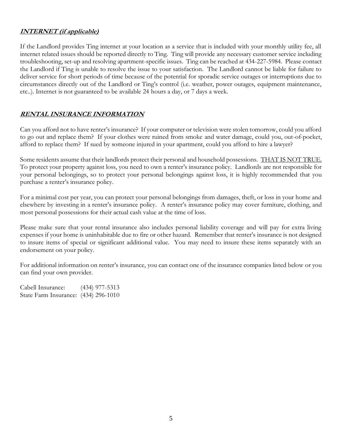#### **INTERNET (if applicable)**

If the Landlord provides Ting internet at your location as a service that is included with your monthly utility fee, all internet related issues should be reported directly to Ting. Ting will provide any necessary customer service including troubleshooting, set-up and resolving apartment-specific issues. Ting can be reached at 434-227-5984. Please contact the Landlord if Ting is unable to resolve the issue to your satisfaction. The Landlord cannot be liable for failure to deliver service for short periods of time because of the potential for sporadic service outages or interruptions due to circumstances directly out of the Landlord or Ting's control (i.e. weather, power outages, equipment maintenance, etc..). Internet is not guaranteed to be available 24 hours a day, or 7 days a week.

### **RENTAL INSURANCE INFORMATION**

Can you afford not to have renter's insurance? If your computer or television were stolen tomorrow, could you afford to go out and replace them? If your clothes were ruined from smoke and water damage, could you, out-of-pocket, afford to replace them? If sued by someone injured in your apartment, could you afford to hire a lawyer?

Some residents assume that their landlords protect their personal and household possessions.THAT IS NOT TRUE. To protect your property against loss, you need to own a renter's insurance policy. Landlords are not responsible for your personal belongings, so to protect your personal belongings against loss, it is highly recommended that you purchase a renter's insurance policy.

For a minimal cost per year, you can protect your personal belongings from damages, theft, or loss in your home and elsewhere by investing in a renter's insurance policy. A renter's insurance policy may cover furniture, clothing, and most personal possessions for their actual cash value at the time of loss.

Please make sure that your rental insurance also includes personal liability coverage and will pay for extra living expenses if your home is uninhabitable due to fire or other hazard. Remember that renter's insurance is not designed to insure items of special or significant additional value. You may need to insure these items separately with an endorsement on your policy.

For additional information on renter's insurance, you can contact one of the insurance companies listed below or you can find your own provider.

Cabell Insurance: (434) 977-5313 State Farm Insurance: (434) 296-1010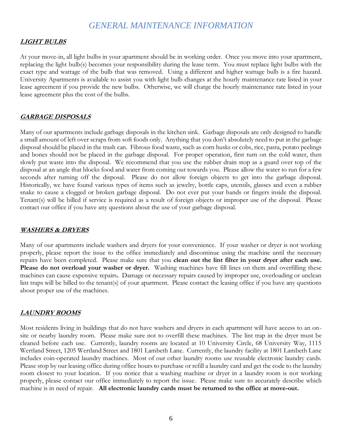## *GENERAL MAINTENANCE INFORMATION*

### **LIGHT BULBS**

At your move-in, all light bulbs in your apartment should be in working order. Once you move into your apartment, replacing the light bulb(s) becomes your responsibility during the lease term. You must replace light bulbs with the exact type and wattage of the bulb that was removed. Using a different and higher wattage bulb is a fire hazard. University Apartments is available to assist you with light bulb changes at the hourly maintenance rate listed in your lease agreement if you provide the new bulbs. Otherwise, we will charge the hourly maintenance rate listed in your lease agreement plus the cost of the bulbs.

#### **GARBAGE DISPOSALS**

Many of our apartments include garbage disposals in the kitchen sink. Garbage disposals are only designed to handle a small amount of left over scraps from soft foods only. Anything that you don't absolutely need to put in the garbage disposal should be placed in the trash can. Fibrous food waste, such as corn husks or cobs, rice, pasta, potato peelings and bones should not be placed in the garbage disposal. For proper operation, first turn on the cold water, then slowly put waste into the disposal. We recommend that you use the rubber drain stop as a guard over top of the disposal at an angle that blocks food and water from coming out towards you. Please allow the water to run for a few seconds after turning off the disposal. Please do not allow foreign objects to get into the garbage disposal. Historically, we have found various types of items such as jewelry, bottle caps, utensils, glasses and even a rubber snake to cause a clogged or broken garbage disposal. Do not ever put your hands or fingers inside the disposal. Tenant(s) will be billed if service is required as a result of foreign objects or improper use of the disposal. Please contact our office if you have any questions about the use of your garbage disposal.

#### **WASHERS & DRYERS**

Many of our apartments include washers and dryers for your convenience. If your washer or dryer is not working properly, please report the issue to the office immediately and discontinue using the machine until the necessary repairs have been completed. Please make sure that you **clean out the lint filter in your dryer after each use. Please do not overload your washer or dryer.** Washing machines have fill lines on them and overfilling these machines can cause expensive repairs**.** Damage or necessary repairs caused by improper use, overloading or unclean lint traps will be billed to the tenant(s) of your apartment. Please contact the leasing office if you have any questions about proper use of the machines.

#### **LAUNDRY ROOMS**

Most residents living in buildings that do not have washers and dryers in each apartment will have access to an onsite or nearby laundry room. Please make sure not to overfill these machines. The lint trap in the dryer must be cleaned before each use. Currently, laundry rooms are located at 10 University Circle, 68 University Way, 1115 Wertland Street, 1205 Wertland Street and 1801 Lambeth Lane. Currently, the laundry facility at 1801 Lambeth Lane includes coin-operated laundry machines. Most of our other laundry rooms use reusable electronic laundry cards. Please stop by our leasing office during office hours to purchase or refill a laundry card and get the code to the laundry room closest to your location. If you notice that a washing machine or dryer in a laundry room is not working properly, please contact our office immediately to report the issue. Please make sure to accurately describe which machine is in need of repair. **All electronic laundry cards must be returned to the office at move-out.**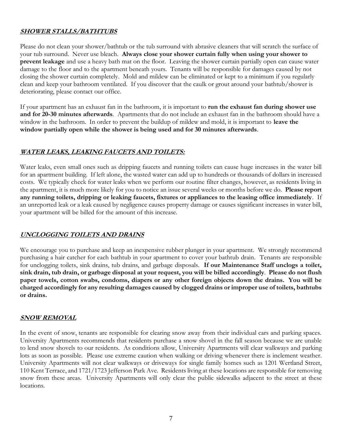#### **SHOWER STALLS/BATHTUBS**

Please do not clean your shower/bathtub or the tub surround with abrasive cleaners that will scratch the surface of your tub surround. Never use bleach. **Always close your shower curtain fully when using your shower to prevent leakage** and use a heavy bath mat on the floor. Leaving the shower curtain partially open can cause water damage to the floor and to the apartment beneath yours. Tenants will be responsible for damages caused by not closing the shower curtain completely. Mold and mildew can be eliminated or kept to a minimum if you regularly clean and keep your bathroom ventilated. If you discover that the caulk or grout around your bathtub/shower is deteriorating, please contact our office.

If your apartment has an exhaust fan in the bathroom, it is important to **run the exhaust fan during shower use and for 20-30 minutes afterwards**. Apartments that do not include an exhaust fan in the bathroom should have a window in the bathroom. In order to prevent the buildup of mildew and mold, it is important to **leave the window partially open while the shower is being used and for 30 minutes afterwards**.

### **WATER LEAKS, LEAKING FAUCETS AND TOILETS:**

Water leaks, even small ones such as dripping faucets and running toilets can cause huge increases in the water bill for an apartment building. If left alone, the wasted water can add up to hundreds or thousands of dollars in increased costs. We typically check for water leaks when we perform our routine filter changes, however, as residents living in the apartment, it is much more likely for you to notice an issue several weeks or months before we do. **Please report any running toilets, dripping or leaking faucets, fixtures or appliances to the leasing office immediately**. If an unreported leak or a leak caused by negligence causes property damage or causes significant increases in water bill, your apartment will be billed for the amount of this increase.

#### **UNCLOGGING TOILETS AND DRAINS**

We encourage you to purchase and keep an inexpensive rubber plunger in your apartment. We strongly recommend purchasing a hair catcher for each bathtub in your apartment to cover your bathtub drain. Tenants are responsible for unclogging toilets, sink drains, tub drains, and garbage disposals. **If our Maintenance Staff unclogs a toilet, sink drain, tub drain, or garbage disposal at your request, you will be billed accordingly**. **Please do not flush paper towels, cotton swabs, condoms, diapers or any other foreign objects down the drains. You will be charged accordingly for any resulting damages caused by clogged drains or improper use of toilets, bathtubs or drains.**

#### **SNOW REMOVAL**

In the event of snow, tenants are responsible for clearing snow away from their individual cars and parking spaces. University Apartments recommends that residents purchase a snow shovel in the fall season because we are unable to lend snow shovels to our residents. As conditions allow, University Apartments will clear walkways and parking lots as soon as possible. Please use extreme caution when walking or driving whenever there is inclement weather. University Apartments will not clear walkways or driveways for single family homes such as 1201 Wertland Street, 110 Kent Terrace, and 1721/1723 Jefferson Park Ave. Residents living at these locations are responsible for removing snow from these areas. University Apartments will only clear the public sidewalks adjacent to the street at these locations.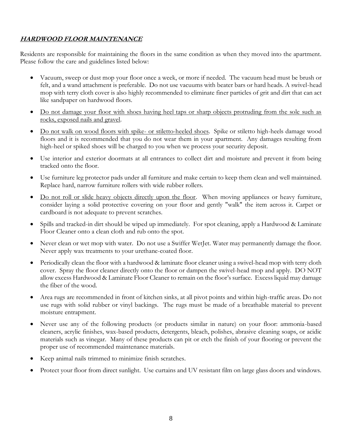### **HARDWOOD FLOOR MAINTENANCE**

Residents are responsible for maintaining the floors in the same condition as when they moved into the apartment. Please follow the care and guidelines listed below:

- Vacuum, sweep or dust mop your floor once a week, or more if needed. The vacuum head must be brush or felt, and a wand attachment is preferable. Do not use vacuums with beater bars or hard heads. A swivel-head mop with terry cloth cover is also highly recommended to eliminate finer particles of grit and dirt that can act like sandpaper on hardwood floors.
- Do not damage your floor with shoes having heel taps or sharp objects protruding from the sole such as rocks, exposed nails and gravel.
- Do not walk on wood floors with spike- or stiletto-heeled shoes. Spike or stiletto high-heels damage wood floors and it is recommended that you do not wear them in your apartment. Any damages resulting from high-heel or spiked shoes will be charged to you when we process your security deposit.
- Use interior and exterior doormats at all entrances to collect dirt and moisture and prevent it from being tracked onto the floor.
- Use furniture leg protector pads under all furniture and make certain to keep them clean and well maintained. Replace hard, narrow furniture rollers with wide rubber rollers.
- Do not roll or slide heavy objects directly upon the floor. When moving appliances or heavy furniture, consider laying a solid protective covering on your floor and gently "walk" the item across it. Carpet or cardboard is not adequate to prevent scratches.
- Spills and tracked-in dirt should be wiped up immediately. For spot cleaning, apply a Hardwood & Laminate Floor Cleaner onto a clean cloth and rub onto the spot.
- Never clean or wet mop with water. Do not use a Swiffer WetJet. Water may permanently damage the floor. Never apply wax treatments to your urethane-coated floor.
- Periodically clean the floor with a hardwood & laminate floor cleaner using a swivel-head mop with terry cloth cover. Spray the floor cleaner directly onto the floor or dampen the swivel-head mop and apply. DO NOT allow excess Hardwood & Laminate Floor Cleaner to remain on the floor's surface. Excess liquid may damage the fiber of the wood.
- Area rugs are recommended in front of kitchen sinks, at all pivot points and within high-traffic areas. Do not use rugs with solid rubber or vinyl backings. The rugs must be made of a breathable material to prevent moisture entrapment.
- Never use any of the following products (or products similar in nature) on your floor: ammonia-based cleaners, acrylic finishes, wax-based products, detergents, bleach, polishes, abrasive cleaning soaps, or acidic materials such as vinegar. Many of these products can pit or etch the finish of your flooring or prevent the proper use of recommended maintenance materials.
- Keep animal nails trimmed to minimize finish scratches.
- Protect your floor from direct sunlight. Use curtains and UV resistant film on large glass doors and windows.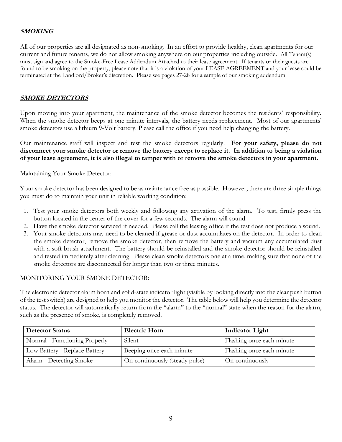### **SMOKING**

All of our properties are all designated as non-smoking. In an effort to provide healthy, clean apartments for our current and future tenants, we do not allow smoking anywhere on our properties including outside. All Tenant(s) must sign and agree to the Smoke-Free Lease Addendum Attached to their lease agreement. If tenants or their guests are found to be smoking on the property, please note that it is a violation of your LEASE AGREEMENT and your lease could be terminated at the Landlord/Broker's discretion. Please see pages 27-28 for a sample of our smoking addendum.

#### **SMOKE DETECTORS**

Upon moving into your apartment, the maintenance of the smoke detector becomes the residents' responsibility. When the smoke detector beeps at one minute intervals, the battery needs replacement. Most of our apartments' smoke detectors use a lithium 9-Volt battery. Please call the office if you need help changing the battery.

Our maintenance staff will inspect and test the smoke detectors regularly. **For your safety, please do not disconnect your smoke detector or remove the battery except to replace it. In addition to being a violation of your lease agreement, it is also illegal to tamper with or remove the smoke detectors in your apartment.**

Maintaining Your Smoke Detector:

Your smoke detector has been designed to be as maintenance free as possible. However, there are three simple things you must do to maintain your unit in reliable working condition:

- 1. Test your smoke detectors both weekly and following any activation of the alarm. To test, firmly press the button located in the center of the cover for a few seconds. The alarm will sound.
- 2. Have the smoke detector serviced if needed. Please call the leasing office if the test does not produce a sound.
- 3. Your smoke detectors may need to be cleaned if grease or dust accumulates on the detector. In order to clean the smoke detector, remove the smoke detector, then remove the battery and vacuum any accumulated dust with a soft brush attachment. The battery should be reinstalled and the smoke detector should be reinstalled and tested immediately after cleaning. Please clean smoke detectors one at a time, making sure that none of the smoke detectors are disconnected for longer than two or three minutes.

#### MONITORING YOUR SMOKE DETECTOR:

The electronic detector alarm horn and solid-state indicator light (visible by looking directly into the clear push button of the test switch) are designed to help you monitor the detector. The table below will help you determine the detector status. The detector will automatically return from the "alarm" to the "normal" state when the reason for the alarm, such as the presence of smoke, is completely removed.

| <b>Detector Status</b>        | <b>Electric Horn</b>           | <b>Indicator Light</b>    |  |
|-------------------------------|--------------------------------|---------------------------|--|
| Normal - Functioning Properly | Silent                         | Flashing once each minute |  |
| Low Battery - Replace Battery | Beeping once each minute       | Flashing once each minute |  |
| Alarm - Detecting Smoke       | On continuously (steady pulse) | On continuously           |  |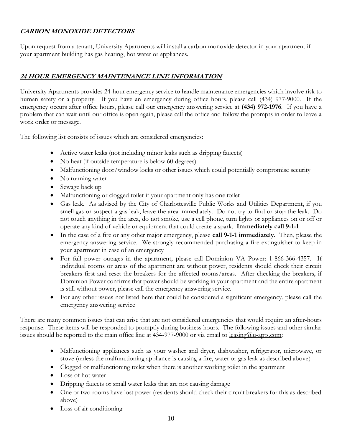## **CARBON MONOXIDE DETECTORS**

Upon request from a tenant, University Apartments will install a carbon monoxide detector in your apartment if your apartment building has gas heating, hot water or appliances.

## **24 HOUR EMERGENCY MAINTENANCE LINE INFORMATION**

University Apartments provides 24-hour emergency service to handle maintenance emergencies which involve risk to human safety or a property. If you have an emergency during office hours, please call (434) 977-9000. If the emergency occurs after office hours, please call our emergency answering service at **(434) 972-1976**. If you have a problem that can wait until our office is open again, please call the office and follow the prompts in order to leave a work order or message.

The following list consists of issues which are considered emergencies:

- Active water leaks (not including minor leaks such as dripping faucets)
- No heat (if outside temperature is below 60 degrees)
- Malfunctioning door/window locks or other issues which could potentially compromise security
- No running water
- Sewage back up
- Malfunctioning or clogged toilet if your apartment only has one toilet
- Gas leak. As advised by the City of Charlottesville Public Works and Utilities Department, if you smell gas or suspect a gas leak, leave the area immediately. Do not try to find or stop the leak. Do not touch anything in the area, do not smoke, use a cell phone, turn lights or appliances on or off or operate any kind of vehicle or equipment that could create a spark. **Immediately call 9-1-1**
- In the case of a fire or any other major emergency, please **call 9-1-1 immediately**. Then, please the emergency answering service. We strongly recommended purchasing a fire extinguisher to keep in your apartment in case of an emergency
- For full power outages in the apartment, please call Dominion VA Power: 1-866-366-4357. If individual rooms or areas of the apartment are without power, residents should check their circuit breakers first and reset the breakers for the affected rooms/areas. After checking the breakers, if Dominion Power confirms that power should be working in your apartment and the entire apartment is still without power, please call the emergency answering service.
- For any other issues not listed here that could be considered a significant emergency, please call the emergency answering service

There are many common issues that can arise that are not considered emergencies that would require an after-hours response. These items will be responded to promptly during business hours. The following issues and other similar issues should be reported to the main office line at 434-977-9000 or via email to leasing@u-apts.com:

- Malfunctioning appliances such as your washer and dryer, dishwasher, refrigerator, microwave, or stove (unless the malfunctioning appliance is causing a fire, water or gas leak as described above)
- Clogged or malfunctioning toilet when there is another working toilet in the apartment
- Loss of hot water
- Dripping faucets or small water leaks that are not causing damage
- One or two rooms have lost power (residents should check their circuit breakers for this as described above)
- Loss of air conditioning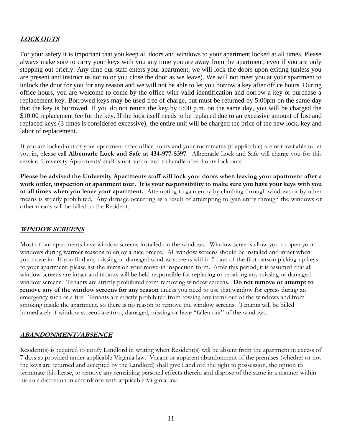## **LOCK OUTS**

For your safety it is important that you keep all doors and windows to your apartment locked at all times. Please always make sure to carry your keys with you any time you are away from the apartment, even if you are only stepping out briefly. Any time our staff enters your apartment, we will lock the doors upon exiting (unless you are present and instruct us not to or you close the door as we leave). We will not meet you at your apartment to unlock the door for you for any reason and we will not be able to let you borrow a key after office hours. During office hours, you are welcome to come by the office with valid identification and borrow a key or purchase a replacement key. Borrowed keys may be used free of charge, but must be returned by 5:00pm on the same day that the key is borrowed. If you do not return the key by 5:00 p.m. on the same day, you will be charged the \$10.00 replacement fee for the key. If the lock itself needs to be replaced due to an excessive amount of lost and replaced keys (3 times is considered excessive), the entire unit will be charged the price of the new lock, key and labor of replacement.

If you are locked out of your apartment after office hours and your roommates (if applicable) are not available to let you in, please call **Albemarle Lock and Safe at 434-977-5397**. Albemarle Lock and Safe will charge you for this service. University Apartments' staff is not authorized to handle after-hours lock outs.

**Please be advised the University Apartments staff will lock your doors when leaving your apartment after a work order, inspection or apartment tour. It is your responsibility to make sure you have your keys with you at all times when you leave your apartment.** Attempting to gain entry by climbing through windows or by other means is strictly prohibited. Any damage occurring as a result of attempting to gain entry through the windows or other means will be billed to the Resident.

#### **WINDOW SCREENS**

Most of our apartments have window screens installed on the windows. Window screens allow you to open your windows during warmer seasons to enjoy a nice breeze. All window screens should be installed and intact when you move in. If you find any missing or damaged window screens within 5 days of the first person picking up keys to your apartment, please list the items on your move-in inspection form. After this period, it is assumed that all window screens are intact and tenants will be held responsible for replacing or repairing any missing or damaged window screens. Tenants are strictly prohibited from removing window screens. **Do not remove or attempt to remove any of the window screens for any reason** unless you need to use that window for egress during an emergency such as a fire. Tenants are strictly prohibited from tossing any items out of the windows and from smoking inside the apartment, so there is no reason to remove the window screens. Tenants will be billed immediately if window screens are torn, damaged, missing or have "fallen out" of the windows.

#### **ABANDONMENT/ABSENCE**

Resident(s) is required to notify Landlord in writing when Resident(s) will be absent from the apartment in excess of 7 days as provided under applicable Virginia law. Vacant or apparent abandonment of the premises (whether or not the keys are returned and accepted by the Landlord) shall give Landlord the right to possession, the option to terminate this Lease, to remove any remaining personal effects therein and dispose of the same in a manner within his sole discretion in accordance with applicable Virginia law.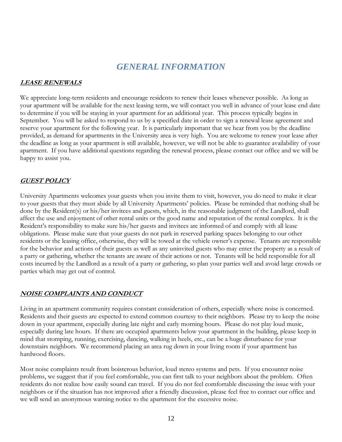# *GENERAL INFORMATION*

#### **LEASE RENEWALS**

We appreciate long-term residents and encourage residents to renew their leases whenever possible. As long as your apartment will be available for the next leasing term, we will contact you well in advance of your lease end date to determine if you will be staying in your apartment for an additional year. This process typically begins in September. You will be asked to respond to us by a specified date in order to sign a renewal lease agreement and reserve your apartment for the following year. It is particularly important that we hear from you by the deadline provided, as demand for apartments in the University area is very high. You are welcome to renew your lease after the deadline as long as your apartment is still available, however, we will not be able to guarantee availability of your apartment. If you have additional questions regarding the renewal process, please contact our office and we will be happy to assist you.

## **GUEST POLICY**

University Apartments welcomes your guests when you invite them to visit, however, you do need to make it clear to your guests that they must abide by all University Apartments' policies. Please be reminded that nothing shall be done by the Resident(s) or his/her invitees and guests, which, in the reasonable judgment of the Landlord, shall affect the use and enjoyment of other rental units or the good name and reputation of the rental complex. It is the Resident's responsibility to make sure his/her guests and invitees are informed of and comply with all lease obligations. Please make sure that your guests do not park in reserved parking spaces belonging to our other residents or the leasing office, otherwise, they will be towed at the vehicle owner's expense. Tenants are responsible for the behavior and actions of their guests as well as any uninvited guests who may enter the property as a result of a party or gathering, whether the tenants are aware of their actions or not. Tenants will be held responsible for all costs incurred by the Landlord as a result of a party or gathering, so plan your parties well and avoid large crowds or parties which may get out of control.

#### **NOISE COMPLAINTS AND CONDUCT**

Living in an apartment community requires constant consideration of others, especially where noise is concerned. Residents and their guests are expected to extend common courtesy to their neighbors. Please try to keep the noise down in your apartment, especially during late night and early morning hours. Please do not play loud music, especially during late hours. If there are occupied apartments below your apartment in the building, please keep in mind that stomping, running, exercising, dancing, walking in heels, etc., can be a huge disturbance for your downstairs neighbors. We recommend placing an area rug down in your living room if your apartment has hardwood floors.

Most noise complaints result from boisterous behavior, loud stereo systems and pets. If you encounter noise problems, we suggest that if you feel comfortable, you can first talk to your neighbors about the problem. Often residents do not realize how easily sound can travel. If you do not feel comfortable discussing the issue with your neighbors or if the situation has not improved after a friendly discussion, please feel free to contact our office and we will send an anonymous warning notice to the apartment for the excessive noise.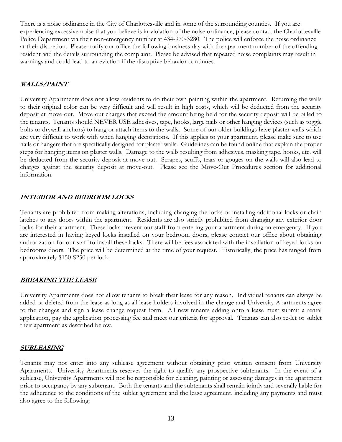There is a noise ordinance in the City of Charlottesville and in some of the surrounding counties. If you are experiencing excessive noise that you believe is in violation of the noise ordinance, please contact the Charlottesville Police Department via their non-emergency number at 434-970-3280. The police will enforce the noise ordinance at their discretion. Please notify our office the following business day with the apartment number of the offending resident and the details surrounding the complaint. Please be advised that repeated noise complaints may result in warnings and could lead to an eviction if the disruptive behavior continues.

#### **WALLS/PAINT**

University Apartments does not allow residents to do their own painting within the apartment. Returning the walls to their original color can be very difficult and will result in high costs, which will be deducted from the security deposit at move-out. Move-out charges that exceed the amount being held for the security deposit will be billed to the tenants. Tenants should NEVER USE adhesives, tape, hooks, large nails or other hanging devices (such as toggle bolts or drywall anchors) to hang or attach items to the walls. Some of our older buildings have plaster walls which are very difficult to work with when hanging decorations. If this applies to your apartment, please make sure to use nails or hangers that are specifically designed for plaster walls. Guidelines can be found online that explain the proper steps for hanging items on plaster walls. Damage to the walls resulting from adhesives, masking tape, hooks, etc. will be deducted from the security deposit at move-out. Scrapes, scuffs, tears or gouges on the walls will also lead to charges against the security deposit at move-out. Please see the Move-Out Procedures section for additional information.

### **INTERIOR AND BEDROOM LOCKS**

Tenants are prohibited from making alterations, including changing the locks or installing additional locks or chain latches to any doors within the apartment. Residents are also strictly prohibited from changing any exterior door locks for their apartment. These locks prevent our staff from entering your apartment during an emergency. If you are interested in having keyed locks installed on your bedroom doors, please contact our office about obtaining authorization for our staff to install these locks. There will be fees associated with the installation of keyed locks on bedrooms doors. The price will be determined at the time of your request. Historically, the price has ranged from approximately \$150-\$250 per lock.

#### **BREAKING THE LEASE**

University Apartments does not allow tenants to break their lease for any reason. Individual tenants can always be added or deleted from the lease as long as all lease holders involved in the change and University Apartments agree to the changes and sign a lease change request form. All new tenants adding onto a lease must submit a rental application, pay the application processing fee and meet our criteria for approval. Tenants can also re-let or sublet their apartment as described below.

#### **SUBLEASING**

Tenants may not enter into any sublease agreement without obtaining prior written consent from University Apartments. University Apartments reserves the right to qualify any prospective subtenants. In the event of a sublease, University Apartments will not be responsible for cleaning, painting or assessing damages in the apartment prior to occupancy by any subtenant. Both the tenants and the subtenants shall remain jointly and severally liable for the adherence to the conditions of the sublet agreement and the lease agreement, including any payments and must also agree to the following: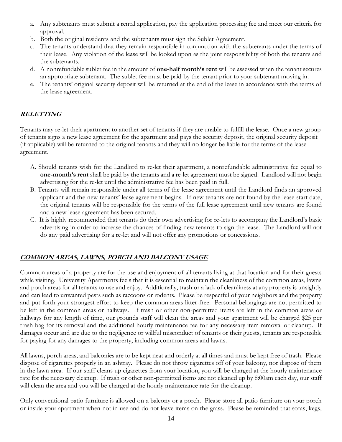- a. Any subtenants must submit a rental application, pay the application processing fee and meet our criteria for approval.
- b. Both the original residents and the subtenants must sign the Sublet Agreement.
- c. The tenants understand that they remain responsible in conjunction with the subtenants under the terms of their lease. Any violation of the lease will be looked upon as the joint responsibility of both the tenants and the subtenants.
- d. A nonrefundable sublet fee in the amount of **one-half month's rent** will be assessed when the tenant secures an appropriate subtenant. The sublet fee must be paid by the tenant prior to your subtenant moving in.
- e. The tenants' original security deposit will be returned at the end of the lease in accordance with the terms of the lease agreement.

## **RELETTING**

Tenants may re-let their apartment to another set of tenants if they are unable to fulfill the lease. Once a new group of tenants signs a new lease agreement for the apartment and pays the security deposit, the original security deposit (if applicable) will be returned to the original tenants and they will no longer be liable for the terms of the lease agreement.

- A. Should tenants wish for the Landlord to re-let their apartment, a nonrefundable administrative fee equal to **one-month's rent** shall be paid by the tenants and a re-let agreement must be signed. Landlord will not begin advertising for the re-let until the administrative fee has been paid in full.
- B. Tenants will remain responsible under all terms of the lease agreement until the Landlord finds an approved applicant and the new tenants' lease agreement begins. If new tenants are not found by the lease start date, the original tenants will be responsible for the terms of the full lease agreement until new tenants are found and a new lease agreement has been secured.
- C. It is highly recommended that tenants do their own advertising for re-lets to accompany the Landlord's basic advertising in order to increase the chances of finding new tenants to sign the lease. The Landlord will not do any paid advertising for a re-let and will not offer any promotions or concessions.

## **COMMON AREAS, LAWNS, PORCH AND BALCONY USAGE**

Common areas of a property are for the use and enjoyment of all tenants living at that location and for their guests while visiting. University Apartments feels that it is essential to maintain the cleanliness of the common areas, lawns and porch areas for all tenants to use and enjoy. Additionally, trash or a lack of cleanliness at any property is unsightly and can lead to unwanted pests such as raccoons or rodents. Please be respectful of your neighbors and the property and put forth your strongest effort to keep the common areas litter-free. Personal belongings are not permitted to be left in the common areas or hallways. If trash or other non-permitted items are left in the common areas or hallways for any length of time, our grounds staff will clean the areas and your apartment will be charged \$25 per trash bag for its removal and the additional hourly maintenance fee for any necessary item removal or cleanup. If damages occur and are due to the negligence or willful misconduct of tenants or their guests, tenants are responsible for paying for any damages to the property, including common areas and lawns.

All lawns, porch areas, and balconies are to be kept neat and orderly at all times and must be kept free of trash. Please dispose of cigarettes properly in an ashtray. Please do not throw cigarettes off of your balcony, nor dispose of them in the lawn area. If our staff cleans up cigarettes from your location, you will be charged at the hourly maintenance rate for the necessary cleanup. If trash or other non-permitted items are not cleaned up by 8:00am each day, our staff will clean the area and you will be charged at the hourly maintenance rate for the cleanup.

Only conventional patio furniture is allowed on a balcony or a porch. Please store all patio furniture on your porch or inside your apartment when not in use and do not leave items on the grass. Please be reminded that sofas, kegs,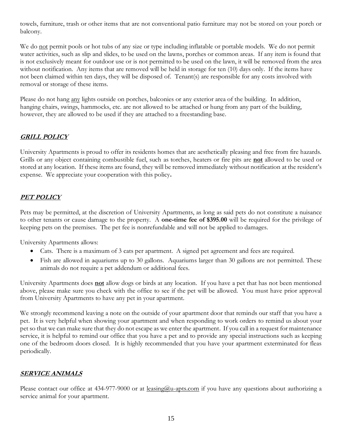towels, furniture, trash or other items that are not conventional patio furniture may not be stored on your porch or balcony.

We do not permit pools or hot tubs of any size or type including inflatable or portable models. We do not permit water activities, such as slip and slides, to be used on the lawns, porches or common areas. If any item is found that is not exclusively meant for outdoor use or is not permitted to be used on the lawn, it will be removed from the area without notification. Any items that are removed will be held in storage for ten (10) days only. If the items have not been claimed within ten days, they will be disposed of. Tenant(s) are responsible for any costs involved with removal or storage of these items.

Please do not hang any lights outside on porches, balconies or any exterior area of the building. In addition, hanging chairs, swings, hammocks, etc. are not allowed to be attached or hung from any part of the building, however, they are allowed to be used if they are attached to a freestanding base.

## **GRILL POLICY**

University Apartments is proud to offer its residents homes that are aesthetically pleasing and free from fire hazards. Grills or any object containing combustible fuel, such as torches, heaters or fire pits are **not** allowed to be used or stored at any location. If these items are found, they will be removed immediately without notification at the resident's expense. We appreciate your cooperation with this policy**.** 

## **PET POLICY**

Pets may be permitted, at the discretion of University Apartments, as long as said pets do not constitute a nuisance to other tenants or cause damage to the property. A **one-time fee of \$395.00** will be required for the privilege of keeping pets on the premises. The pet fee is nonrefundable and will not be applied to damages.

University Apartments allows:

- Cats. There is a maximum of 3 cats per apartment. A signed pet agreement and fees are required.
- Fish are allowed in aquariums up to 30 gallons. Aquariums larger than 30 gallons are not permitted. These animals do not require a pet addendum or additional fees.

University Apartments does **not** allow dogs or birds at any location. If you have a pet that has not been mentioned above, please make sure you check with the office to see if the pet will be allowed. You must have prior approval from University Apartments to have any pet in your apartment.

We strongly recommend leaving a note on the outside of your apartment door that reminds our staff that you have a pet. It is very helpful when showing your apartment and when responding to work orders to remind us about your pet so that we can make sure that they do not escape as we enter the apartment. If you call in a request for maintenance service, it is helpful to remind our office that you have a pet and to provide any special instructions such as keeping one of the bedroom doors closed. It is highly recommended that you have your apartment exterminated for fleas periodically.

#### **SERVICE ANIMALS**

Please contact our office at 434-977-9000 or at <u>leasing@u-apts.com</u> if you have any questions about authorizing a service animal for your apartment.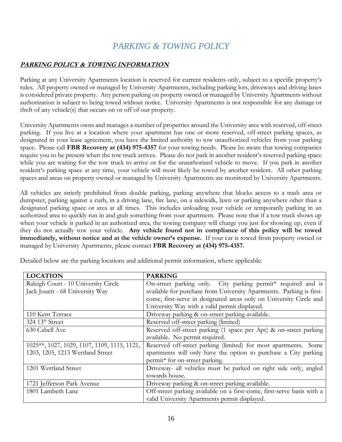# *PARKING & TOWING POLICY*

### **PARKING POLICY & TOWING INFORMATION**

Parking at any University Apartments location is reserved for current residents only, subject to a specific property's rules. All property owned or managed by University Apartments, including parking lots, driveways and driving lanes is considered private property. Any person parking on property owned or managed by University Apartments without authorization is subject to being towed without notice. University Apartments is not responsible for any damage or theft of any vehicle(s) that occurs on or off of our property.

University Apartments owns and manages a number of properties around the University area with reserved, off-street parking. If you live at a location where your apartment has one or more reserved, off-street parking spaces, as designated in your lease agreement, you have the limited authority to tow unauthorized vehicles from your parking space. Please call **FBR Recovery at (434) 975-4357** for your towing needs. Please be aware that towing companies require you to be present when the tow truck arrives. Please do not park in another resident's reserved parking space while you are waiting for the tow truck to arrive or for the unauthorized vehicle to move. If you park in another resident's parking space at any time, your vehicle will most likely be towed by another resident. All other parking spaces and areas on property owned or managed by University Apartments are monitored by University Apartments.

All vehicles are strictly prohibited from double parking, parking anywhere that blocks access to a trash area or dumpster, parking against a curb, in a driving lane, fire lane, on a sidewalk, lawn or parking anywhere other than a designated parking space or area at all times. This includes unloading your vehicle or temporarily parking in an authorized area to quickly run in and grab something from your apartment. Please note that if a tow truck shows up when your vehicle is parked in an authorized area, the towing company will charge you just for showing up, even if they do not actually tow your vehicle. **Any vehicle found not in compliance of this policy will be towed immediately, without notice and at the vehicle owner's expense.** If your car is towed from property owned or managed by University Apartments, please contact **FBR Recovery at (434) 975-4357.**

| <b>LOCATION</b>                             | <b>PARKING</b>                                                         |  |  |
|---------------------------------------------|------------------------------------------------------------------------|--|--|
| Raleigh Court - 10 University Circle        | On-street parking only. City parking permit* required and is           |  |  |
| Jack Jouett - 68 University Way             | available for purchase from University Apartments. Parking is first-   |  |  |
|                                             | come, first-serve in designated areas only on University Circle and    |  |  |
|                                             | University Way with a valid permit displayed.                          |  |  |
| 110 Kent Terrace                            | Driveway parking & on-street parking available.                        |  |  |
| $324.13^{\text{th}}$ Street                 | Reserved off-street parking (limited)                                  |  |  |
| 630 Cabell Ave                              | Reserved off-street parking (1 space per Apt) & on-street parking      |  |  |
|                                             | available. No permit required.                                         |  |  |
| 1025**, 1027, 1029, 1107, 1109, 1115, 1121, | Reserved off-street parking (limited) for most apartments. Some        |  |  |
| 1203, 1205, 1213 Wertland Street            | apartments will only have the option to purchase a City parking        |  |  |
|                                             | permit* for on-street parking.                                         |  |  |
| 1201 Wertland Street                        | Driveway- all vehicles must be parked on right side only, angled       |  |  |
|                                             | towards house.                                                         |  |  |
| 1721 Jefferson Park Avenue                  | Driveway parking & on-street parking available.                        |  |  |
| 1801 Lambeth Lane                           | Off-street parking available on a first-come, first-serve basis with a |  |  |
|                                             | valid University Apartments permit displayed.                          |  |  |

Detailed below are the parking locations and additional permit information, where applicable: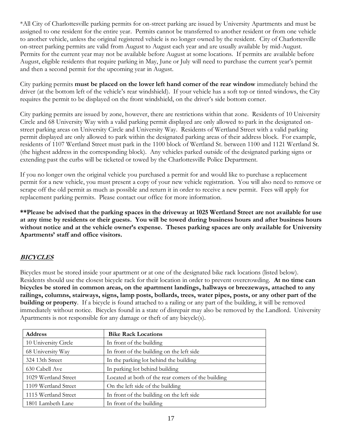\*All City of Charlottesville parking permits for on-street parking are issued by University Apartments and must be assigned to one resident for the entire year. Permits cannot be transferred to another resident or from one vehicle to another vehicle, unless the original registered vehicle is no longer owned by the resident. City of Charlottesville on-street parking permits are valid from August to August each year and are usually available by mid-August. Permits for the current year may not be available before August at some locations. If permits are available before August, eligible residents that require parking in May, June or July will need to purchase the current year's permit and then a second permit for the upcoming year in August.

City parking permits **must be placed on the lower left hand corner of the rear window** immediately behind the driver (at the bottom left of the vehicle's rear windshield). If your vehicle has a soft top or tinted windows, the City requires the permit to be displayed on the front windshield, on the driver's side bottom corner.

City parking permits are issued by zone, however, there are restrictions within that zone. Residents of 10 University Circle and 68 University Way with a valid parking permit displayed are only allowed to park in the designated onstreet parking areas on University Circle and University Way. Residents of Wertland Street with a valid parking permit displayed are only allowed to park within the designated parking areas of their address block. For example, residents of 1107 Wertland Street must park in the 1100 block of Wertland St. between 1100 and 1121 Wertland St. (the highest address in the corresponding block). Any vehicles parked outside of the designated parking signs or extending past the curbs will be ticketed or towed by the Charlottesville Police Department.

If you no longer own the original vehicle you purchased a permit for and would like to purchase a replacement permit for a new vehicle, you must present a copy of your new vehicle registration. You will also need to remove or scrape off the old permit as much as possible and return it in order to receive a new permit. Fees will apply for replacement parking permits. Please contact our office for more information.

**\*\*Please be advised that the parking spaces in the driveway at 1025 Wertland Street are not available for use at any time by residents or their guests. You will be towed during business hours and after business hours without notice and at the vehicle owner's expense. Theses parking spaces are only available for University Apartments' staff and office visitors.** 

#### **BICYCLES**

Bicycles must be stored inside your apartment or at one of the designated bike rack locations (listed below). Residents should use the closest bicycle rack for their location in order to prevent overcrowding. **At no time can bicycles be stored in common areas, on the apartment landings, hallways or breezeways, attached to any railings, columns, stairways, signs, lamp posts, bollards, trees, water pipes, posts, or any other part of the building or property**. If a bicycle is found attached to a railing or any part of the building, it will be removed immediately without notice. Bicycles found in a state of disrepair may also be removed by the Landlord. University Apartments is not responsible for any damage or theft of any bicycle(s).

| <b>Address</b>       | <b>Bike Rack Locations</b>                          |  |  |
|----------------------|-----------------------------------------------------|--|--|
| 10 University Circle | In front of the building                            |  |  |
| 68 University Way    | In front of the building on the left side           |  |  |
| 324 13th Street      | In the parking lot behind the building              |  |  |
| 630 Cabell Ave       | In parking lot behind building                      |  |  |
| 1029 Wertland Street | Located at both of the rear corners of the building |  |  |
| 1109 Wertland Street | On the left side of the building                    |  |  |
| 1115 Wertland Street | In front of the building on the left side           |  |  |
| 1801 Lambeth Lane    | In front of the building                            |  |  |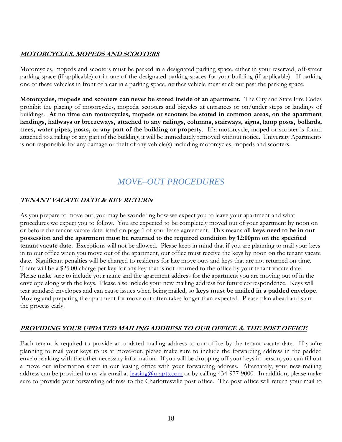### **MOTORCYCLES, MOPEDS AND SCOOTERS**

Motorcycles, mopeds and scooters must be parked in a designated parking space, either in your reserved, off-street parking space (if applicable) or in one of the designated parking spaces for your building (if applicable). If parking one of these vehicles in front of a car in a parking space, neither vehicle must stick out past the parking space.

**Motorcycles, mopeds and scooters can never be stored inside of an apartment.** The City and State Fire Codes prohibit the placing of motorcycles, mopeds, scooters and bicycles at entrances or on/under steps or landings of buildings. **At no time can motorcycles, mopeds or scooters be stored in common areas, on the apartment landings, hallways or breezeways, attached to any railings, columns, stairways, signs, lamp posts, bollards, trees, water pipes, posts, or any part of the building or property**. If a motorcycle, moped or scooter is found attached to a railing or any part of the building, it will be immediately removed without notice. University Apartments is not responsible for any damage or theft of any vehicle(s) including motorcycles, mopeds and scooters.

# *MOVE–OUT PROCEDURES*

### **TENANT VACATE DATE & KEY RETURN**

As you prepare to move out, you may be wondering how we expect you to leave your apartment and what procedures we expect you to follow. You are expected to be completely moved out of your apartment by noon on or before the tenant vacate date listed on page 1 of your lease agreement. This means **all keys need to be in our possession and the apartment must be returned to the required condition by 12:00pm on the specified tenant vacate date**. Exceptions will not be allowed. Please keep in mind that if you are planning to mail your keys in to our office when you move out of the apartment, our office must receive the keys by noon on the tenant vacate date. Significant penalties will be charged to residents for late move outs and keys that are not returned on time. There will be a \$25.00 charge per key for any key that is not returned to the office by your tenant vacate date. Please make sure to include your name and the apartment address for the apartment you are moving out of in the envelope along with the keys. Please also include your new mailing address for future correspondence. Keys will tear standard envelopes and can cause issues when being mailed, so **keys must be mailed in a padded envelope**. Moving and preparing the apartment for move out often takes longer than expected. Please plan ahead and start the process early.

#### **PROVIDING YOUR UPDATED MAILING ADDRESS TO OUR OFFICE & THE POST OFFICE**

Each tenant is required to provide an updated mailing address to our office by the tenant vacate date. If you're planning to mail your keys to us at move-out, please make sure to include the forwarding address in the padded envelope along with the other necessary information. If you will be dropping off your keys in person, you can fill out a move out information sheet in our leasing office with your forwarding address. Alternately, your new mailing address can be provided to us via email at [leasing@u-apts.com](mailto:leasing@u-apts.com) or by calling 434-977-9000. In addition, please make sure to provide your forwarding address to the Charlottesville post office. The post office will return your mail to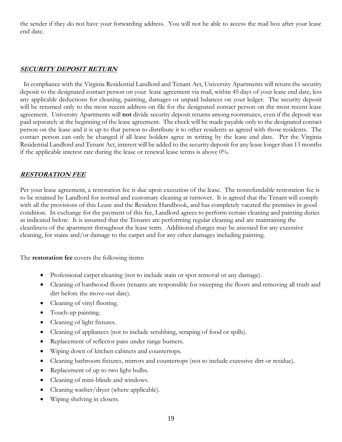the sender if they do not have your forwarding address. You will not be able to access the mail box after your lease end date.

#### **SECURITY DEPOSIT RETURN**

 In compliance with the Virginia Residential Landlord and Tenant Act, University Apartments will return the security deposit to the designated contact person on your lease agreement via mail, within 45 days of your lease end date, less any applicable deductions for cleaning, painting, damages or unpaid balances on your ledger. The security deposit will be returned only to the most recent address on file for the designated contact person on the most recent lease agreement. University Apartments will **not** divide security deposit returns among roommates, even if the deposit was paid separately at the beginning of the lease agreement. The check will be made payable only to the designated contact person on the lease and it is up to that person to distribute it to other residents as agreed with those residents. The contact person can only be changed if all lease holders agree in writing by the lease end date. Per the Virginia Residential Landlord and Tenant Act, interest will be added to the security deposit for any lease longer than 13 months if the applicable interest rate during the lease or renewal lease terms is above 0%.

#### **RESTORATION FEE**

Per your lease agreement, a restoration fee is due upon execution of the lease. The nonrefundable restoration fee is to be retained by Landlord for normal and customary cleaning at turnover. It is agreed that the Tenant will comply with all the provisions of this Lease and the Resident Handbook, and has completely vacated the premises in good condition. In exchange for the payment of this fee, Landlord agrees to perform certain cleaning and painting duties as indicated below. It is assumed that the Tenants are performing regular cleaning and are maintaining the cleanliness of the apartment throughout the lease term. Additional charges may be assessed for any excessive cleaning, for stains and/or damage to the carpet and for any other damages including painting.

The **restoration fee** covers the following items:

- Professional carpet cleaning (not to include stain or spot removal or any damage).
- Cleaning of hardwood floors (tenants are responsible for sweeping the floors and removing all trash and dirt before the move-out date).
- Cleaning of vinyl flooring.
- Touch-up painting.
- Cleaning of light fixtures.
- Cleaning of appliances (not to include scrubbing, scraping of food or spills).
- Replacement of reflector pans under range burners.
- Wiping down of kitchen cabinets and countertops.
- Cleaning bathroom fixtures, mirrors and countertops (not to include excessive dirt or residue).
- Replacement of up to two light bulbs.
- Cleaning of mini-blinds and windows.
- Cleaning washer/dryer (where applicable).
- Wiping shelving in closets.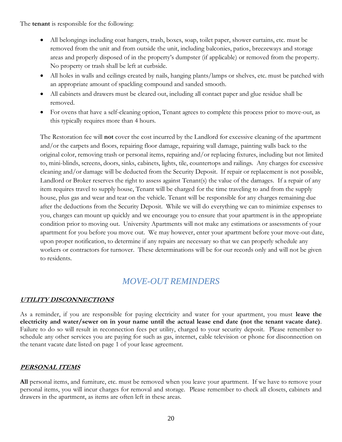The **tenant** is responsible for the following:

- All belongings including coat hangers, trash, boxes, soap, toilet paper, shower curtains, etc. must be removed from the unit and from outside the unit, including balconies, patios, breezeways and storage areas and properly disposed of in the property's dumpster (if applicable) or removed from the property. No property or trash shall be left at curbside.
- All holes in walls and ceilings created by nails, hanging plants/lamps or shelves, etc. must be patched with an appropriate amount of spackling compound and sanded smooth.
- All cabinets and drawers must be cleared out, including all contact paper and glue residue shall be removed.
- For ovens that have a self-cleaning option, Tenant agrees to complete this process prior to move-out, as this typically requires more than 4 hours.

The Restoration fee will **not** cover the cost incurred by the Landlord for excessive cleaning of the apartment and/or the carpets and floors, repairing floor damage, repairing wall damage, painting walls back to the original color, removing trash or personal items, repairing and/or replacing fixtures, including but not limited to, mini-blinds, screens, doors, sinks, cabinets, lights, tile, countertops and railings. Any charges for excessive cleaning and/or damage will be deducted from the Security Deposit. If repair or replacement is not possible, Landlord or Broker reserves the right to assess against Tenant(s) the value of the damages. If a repair of any item requires travel to supply house, Tenant will be charged for the time traveling to and from the supply house, plus gas and wear and tear on the vehicle. Tenant will be responsible for any charges remaining due after the deductions from the Security Deposit. While we will do everything we can to minimize expenses to you, charges can mount up quickly and we encourage you to ensure that your apartment is in the appropriate condition prior to moving out. University Apartments will not make any estimations or assessments of your apartment for you before you move out. We may however, enter your apartment before your move-out date, upon proper notification, to determine if any repairs are necessary so that we can properly schedule any workers or contractors for turnover. These determinations will be for our records only and will not be given to residents.

## *MOVE-OUT REMINDERS*

#### **UTILITY DISCONNECTIONS**

As a reminder, if you are responsible for paying electricity and water for your apartment, you must **leave the electricity and water/sewer on in your name until the actual lease end date (not the tenant vacate date)**. Failure to do so will result in reconnection fees per utility, charged to your security deposit. Please remember to schedule any other services you are paying for such as gas, internet, cable television or phone for disconnection on the tenant vacate date listed on page 1 of your lease agreement.

## **PERSONAL ITEMS**

**All** personal items, and furniture, etc. must be removed when you leave your apartment. If we have to remove your personal items, you will incur charges for removal and storage. Please remember to check all closets, cabinets and drawers in the apartment, as items are often left in these areas.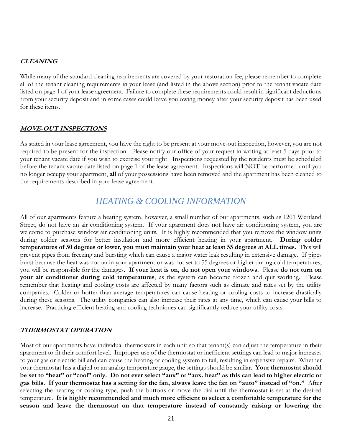#### **CLEANING**

While many of the standard cleaning requirements are covered by your restoration fee, please remember to complete all of the tenant cleaning requirements in your lease (and listed in the above section) prior to the tenant vacate date listed on page 1 of your lease agreement. Failure to complete these requirements could result in significant deductions from your security deposit and in some cases could leave you owing money after your security deposit has been used for these items.

#### **MOVE-OUT INSPECTIONS**

As stated in your lease agreement, you have the right to be present at your move-out inspection, however, you are not required to be present for the inspection. Please notify our office of your request in writing at least 5 days prior to your tenant vacate date if you wish to exercise your right. Inspections requested by the residents must be scheduled before the tenant vacate date listed on page 1 of the lease agreement. Inspections will NOT be performed until you no longer occupy your apartment, **all** of your possessions have been removed and the apartment has been cleaned to the requirements described in your lease agreement.

## *HEATING & COOLING INFORMATION*

All of our apartments feature a heating system, however, a small number of our apartments, such as 1201 Wertland Street, do not have an air conditioning system. If your apartment does not have air conditioning system, you are welcome to purchase window air conditioning units. It is highly recommended that you remove the window units during colder seasons for better insulation and more efficient heating in your apartment. **During colder temperatures of 50 degrees or lower, you must maintain your heat at least 55 degrees at ALL times.** This will prevent pipes from freezing and bursting which can cause a major water leak resulting in extensive damage. If pipes burst because the heat was not on in your apartment or was not set to 55 degrees or higher during cold temperatures, you will be responsible for the damages. **If your heat is on, do not open your windows.** Please **do not turn on your air conditioner during cold temperatures**, as the system can become frozen and quit working. Please remember that heating and cooling costs are affected by many factors such as climate and rates set by the utility companies. Colder or hotter than average temperatures can cause heating or cooling costs to increase drastically during these seasons. The utility companies can also increase their rates at any time, which can cause your bills to increase. Practicing efficient heating and cooling techniques can significantly reduce your utility costs.

#### **THERMOSTAT OPERATION**

Most of our apartments have individual thermostats in each unit so that tenant(s) can adjust the temperature in their apartment to fit their comfort level. Improper use of the thermostat or inefficient settings can lead to major increases to your gas or electric bill and can cause the heating or cooling system to fail, resulting in expensive repairs. Whether your thermostat has a digital or an analog temperature gauge, the settings should be similar. **Your thermostat should be set to "heat" or "cool" only. Do not ever select "aux" or "aux. heat" as this can lead to higher electric or gas bills. If your thermostat has a setting for the fan, always leave the fan on "auto" instead of "on."** After selecting the heating or cooling type, push the buttons or move the dial until the thermostat is set at the desired temperature. **It is highly recommended and much more efficient to select a comfortable temperature for the season and leave the thermostat on that temperature instead of constantly raising or lowering the**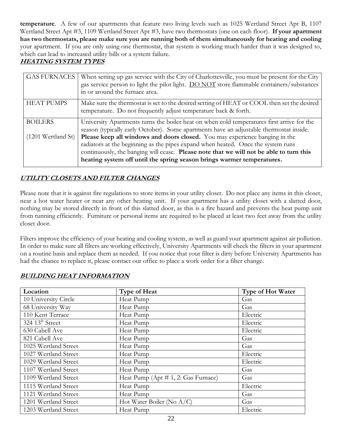**temperature**. A few of our apartments that feature two living levels such as 1025 Wertland Street Apt B, 1107 Wertland Street Apt #3, 1109 Wertland Street Apt #3, have two thermostats (one on each floor). **If your apartment has two thermostats, please make sure you are running both of them simultaneously for heating and cooling** your apartment. If you are only using one thermostat, that system is working much harder than it was designed to, which can lead to increased utility bills or a system failure.

## **HEATING SYSTEM TYPES**

| <b>GAS FURNACES</b><br>When setting up gas service with the City of Charlottesville, you must be present for the City<br>gas service person to light the pilot light. DO NOT store flammable containers/substances<br>in or around the furnace area. |
|------------------------------------------------------------------------------------------------------------------------------------------------------------------------------------------------------------------------------------------------------|
| Make sure the thermostat is set to the desired setting of HEAT or COOL then set the desired<br>temperature. Do not frequently adjust temperature back & forth.                                                                                       |
| University Apartments turns the boiler heat on when cold temperatures first arrive for the                                                                                                                                                           |
| season (typically early October). Some apartments have an adjustable thermostat inside.                                                                                                                                                              |
| $(1201$ Wertland St)<br>Please keep all windows and doors closed. You may experience banging in the                                                                                                                                                  |
| radiators at the beginning as the pipes expand when heated. Once the system runs                                                                                                                                                                     |
| continuously, the banging will cease. Please note that we will not be able to turn this                                                                                                                                                              |
| heating system off until the spring season brings warmer temperatures.                                                                                                                                                                               |
|                                                                                                                                                                                                                                                      |

## **UTILITY CLOSETS AND FILTER CHANGES**

Please note that it is against fire regulations to store items in your utility closet. Do not place any items in this closet, near a hot water heater or near any other heating unit. If your apartment has a utility closet with a slatted door, nothing may be stored directly in front of this slatted door, as this is a fire hazard and prevents the heat pump unit from running efficiently. Furniture or personal items are required to be placed at least two feet away from the utility closet door.

Filters improve the efficiency of your heating and cooling system, as well as guard your apartment against air pollution. In order to make sure all filters are working effectively, University Apartments will check the filters in your apartment on a routine basis and replace them as needed. If you notice that your filter is dirty before University Apartments has had the chance to replace it, please contact our office to place a work order for a filter change.

| Location                         | Type of Heat                        | Type of Hot Water |
|----------------------------------|-------------------------------------|-------------------|
| 10 University Circle             | Heat Pump                           | Gas               |
| 68 University Way                | Heat Pump                           | Gas               |
| 110 Kent Terrace                 | Heat Pump                           | Electric          |
| $324 \; 13$ <sup>th</sup> Street | Heat Pump                           | Electric          |
| 630 Cabell Ave                   | Heat Pump                           | Electric          |
| 821 Cabell Ave                   | Heat Pump                           | Gas               |
| 1025 Wertland Street             | Heat Pump                           | Gas               |
| 1027 Wertland Street             | Heat Pump                           | Electric          |
| 1029 Wertland Street             | Heat Pump                           | Electric          |
| 1107 Wertland Street             | Heat Pump                           | Gas               |
| 1109 Wertland Street             | Heat Pump (Apt # 1, 2: Gas Furnace) | Gas               |
| 1115 Wertland Street             | Heat Pump                           | Electric          |
| 1121 Wertland Street             | Heat Pump                           | Gas               |
| 1201 Wertland Street             | Hot Water Boiler (No $A/C$ )        | Gas               |
| 1203 Wertland Street             | Heat Pump                           | Electric          |

## **BUILDING HEAT INFORMATION**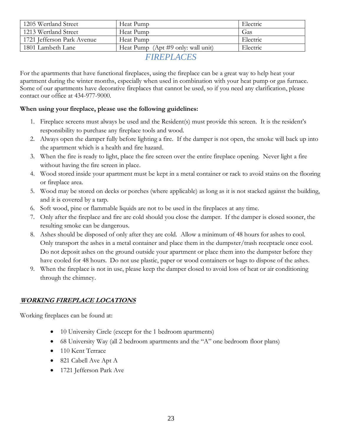| 1205 Wertland Street       | Heat Pump                             | Electric |
|----------------------------|---------------------------------------|----------|
| 1213 Wertland Street       | Heat Pump                             | Gas      |
| 1721 Jefferson Park Avenue | Heat Pump                             | Electric |
| 1801 Lambeth Lane          | Heat Pump (Apt $\#9$ only: wall unit) | Electric |

*FIREPLACES*

For the apartments that have functional fireplaces, using the fireplace can be a great way to help heat your apartment during the winter months, especially when used in combination with your heat pump or gas furnace. Some of our apartments have decorative fireplaces that cannot be used, so if you need any clarification, please contact our office at 434-977-9000.

### **When using your fireplace, please use the following guidelines:**

- 1. Fireplace screens must always be used and the Resident(s) must provide this screen. It is the resident's responsibility to purchase any fireplace tools and wood.
- 2. Always open the damper fully before lighting a fire. If the damper is not open, the smoke will back up into the apartment which is a health and fire hazard.
- 3. When the fire is ready to light, place the fire screen over the entire fireplace opening. Never light a fire without having the fire screen in place.
- 4. Wood stored inside your apartment must be kept in a metal container or rack to avoid stains on the flooring or fireplace area.
- 5. Wood may be stored on decks or porches (where applicable) as long as it is not stacked against the building, and it is covered by a tarp.
- 6. Soft wood, pine or flammable liquids are not to be used in the fireplaces at any time.
- 7. Only after the fireplace and fire are cold should you close the damper. If the damper is closed sooner, the resulting smoke can be dangerous.
- 8. Ashes should be disposed of only after they are cold. Allow a minimum of 48 hours for ashes to cool. Only transport the ashes in a metal container and place them in the dumpster/trash receptacle once cool. Do not deposit ashes on the ground outside your apartment or place them into the dumpster before they have cooled for 48 hours. Do not use plastic, paper or wood containers or bags to dispose of the ashes.
- 9. When the fireplace is not in use, please keep the damper closed to avoid loss of heat or air conditioning through the chimney.

## **WORKING FIREPLACE LOCATIONS**

Working fireplaces can be found at:

- 10 University Circle (except for the 1 bedroom apartments)
- 68 University Way (all 2 bedroom apartments and the "A" one bedroom floor plans)
- 110 Kent Terrace
- 821 Cabell Ave Apt A
- 1721 Jefferson Park Ave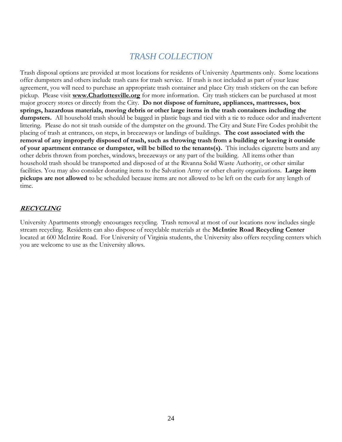## *TRASH COLLECTION*

Trash disposal options are provided at most locations for residents of University Apartments only. Some locations offer dumpsters and others include trash cans for trash service. If trash is not included as part of your lease agreement, you will need to purchase an appropriate trash container and place City trash stickers on the can before pickup. Please visit **www.Charlottesville.org** for more information. City trash stickers can be purchased at most major grocery stores or directly from the City. **Do not dispose of furniture, appliances, mattresses, box springs, hazardous materials, moving debris or other large items in the trash containers including the dumpsters.** All household trash should be bagged in plastic bags and tied with a tie to reduce odor and inadvertent littering. Please do not sit trash outside of the dumpster on the ground. The City and State Fire Codes prohibit the placing of trash at entrances, on steps, in breezeways or landings of buildings. **The cost associated with the removal of any improperly disposed of trash, such as throwing trash from a building or leaving it outside of your apartment entrance or dumpster, will be billed to the tenants(s).** This includes cigarette butts and any other debris thrown from porches, windows, breezeways or any part of the building. All items other than household trash should be transported and disposed of at the Rivanna Solid Waste Authority, or other similar facilities. You may also consider donating items to the Salvation Army or other charity organizations. **Large item pickups are not allowed** to be scheduled because items are not allowed to be left on the curb for any length of time.

#### **RECYCLING**

University Apartments strongly encourages recycling. Trash removal at most of our locations now includes single stream recycling. Residents can also dispose of recyclable materials at the **McIntire Road Recycling Center** located at 600 McIntire Road. For University of Virginia students, the University also offers recycling centers which you are welcome to use as the University allows.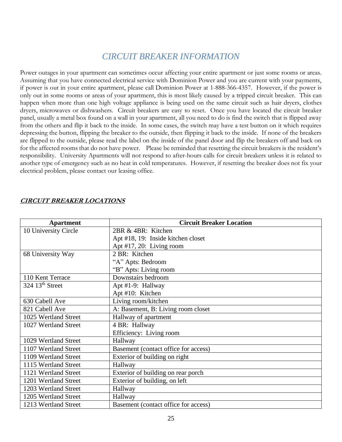## *CIRCUIT BREAKER INFORMATION*

Power outages in your apartment can sometimes occur affecting your entire apartment or just some rooms or areas. Assuming that you have connected electrical service with Dominion Power and you are current with your payments, if power is out in your entire apartment, please call Dominion Power at 1-888-366-4357. However, if the power is only out in some rooms or areas of your apartment, this is most likely caused by a tripped circuit breaker. This can happen when more than one high voltage appliance is being used on the same circuit such as hair dryers, clothes dryers, microwaves or dishwashers. Circuit breakers are easy to reset. Once you have located the circuit breaker panel, usually a metal box found on a wall in your apartment, all you need to do is find the switch that is flipped away from the others and flip it back to the inside. In some cases, the switch may have a test button on it which requires depressing the button, flipping the breaker to the outside, then flipping it back to the inside. If none of the breakers are flipped to the outside, please read the label on the inside of the panel door and flip the breakers off and back on for the affected rooms that do not have power. Please be reminded that resetting the circuit breakers is the resident's responsibility. University Apartments will not respond to after-hours calls for circuit breakers unless it is related to another type of emergency such as no heat in cold temperatures. However, if resetting the breaker does not fix your electrical problem, please contact our leasing office.

| <b>Apartment</b>                 | <b>Circuit Breaker Location</b>      |  |  |  |
|----------------------------------|--------------------------------------|--|--|--|
| 10 University Circle             | 2BR & 4BR: Kitchen                   |  |  |  |
|                                  | Apt #18, 19: Inside kitchen closet   |  |  |  |
|                                  | Apt $#17$ , 20: Living room          |  |  |  |
| 68 University Way                | 2 BR: Kitchen                        |  |  |  |
|                                  | "A" Apts: Bedroom                    |  |  |  |
|                                  | "B" Apts: Living room                |  |  |  |
| 110 Kent Terrace                 | Downstairs bedroom                   |  |  |  |
| $324 \; 13$ <sup>th</sup> Street | Apt #1-9: Hallway                    |  |  |  |
|                                  | Apt #10: Kitchen                     |  |  |  |
| 630 Cabell Ave                   | Living room/kitchen                  |  |  |  |
| 821 Cabell Ave                   | A: Basement, B: Living room closet   |  |  |  |
| 1025 Wertland Street             | Hallway of apartment                 |  |  |  |
| 1027 Wertland Street             | 4 BR: Hallway                        |  |  |  |
|                                  | Efficiency: Living room              |  |  |  |
| 1029 Wertland Street             | Hallway                              |  |  |  |
| 1107 Wertland Street             | Basement (contact office for access) |  |  |  |
| 1109 Wertland Street             | Exterior of building on right        |  |  |  |
| 1115 Wertland Street             | Hallway                              |  |  |  |
| 1121 Wertland Street             | Exterior of building on rear porch   |  |  |  |
| 1201 Wertland Street             | Exterior of building, on left        |  |  |  |
| 1203 Wertland Street             | Hallway                              |  |  |  |
| 1205 Wertland Street             | Hallway                              |  |  |  |
| 1213 Wertland Street             | Basement (contact office for access) |  |  |  |

## **CIRCUIT BREAKER LOCATIONS**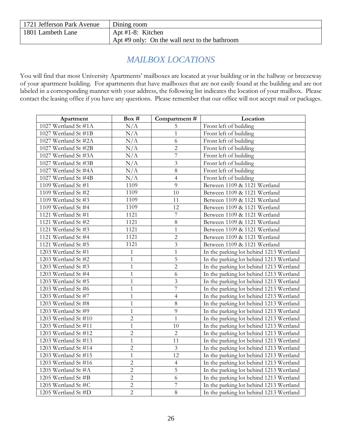| 1721 Jefferson Park Avenue | Dining room                                   |
|----------------------------|-----------------------------------------------|
| 1801 Lambeth Lane          | Apt $\#1-8$ : Kitchen                         |
|                            | Apt #9 only: On the wall next to the bathroom |

## *MAILBOX LOCATIONS*

You will find that most University Apartments' mailboxes are located at your building or in the hallway or breezeway of your apartment building. For apartments that have mailboxes that are not easily found at the building and are not labeled in a corresponding manner with your address, the following list indicates the location of your mailbox. Please contact the leasing office if you have any questions. Please remember that our office will not accept mail or packages.

| Apartment            | Box #          | Compartment#   | Location                                |
|----------------------|----------------|----------------|-----------------------------------------|
| 1027 Wertland St #1A | N/A            | 5              | Front left of building                  |
| 1027 Wertland St #1B | N/A            | $\mathbf{1}$   | Front left of building                  |
| 1027 Wertland St #2A | N/A            | 6              | Front left of building                  |
| 1027 Wertland St #2B | N/A            | $\overline{2}$ | Front left of building                  |
| 1027 Wertland St #3A | N/A            | $\overline{7}$ | Front left of building                  |
| 1027 Wertland St #3B | N/A            | $\overline{3}$ | Front left of building                  |
| 1027 Wertland St #4A | N/A            | 8              | Front left of building                  |
| 1027 Wertland St #4B | N/A            | $\overline{4}$ | Front left of building                  |
| 1109 Wertland St #1  | 1109           | 9              | Between 1109 & 1121 Wertland            |
| 1109 Wertland St #2  | 1109           | 10             | Between 1109 & 1121 Wertland            |
| 1109 Wertland St #3  | 1109           | 11             | Between 1109 & 1121 Wertland            |
| 1109 Wertland St #4  | 1109           | 12             | Between 1109 & 1121 Wertland            |
| 1121 Wertland St #1  | 1121           | $\overline{7}$ | Between 1109 & 1121 Wertland            |
| 1121 Wertland St #2  | 1121           | $8\,$          | Between 1109 & 1121 Wertland            |
| 1121 Wertland St #3  | 1121           | $\mathbf{1}$   | Between 1109 & 1121 Wertland            |
| 1121 Wertland St #4  | 1121           | $\sqrt{2}$     | Between 1109 & 1121 Wertland            |
| 1121 Wertland St #5  | 1121           | $\mathfrak{Z}$ | Between 1109 & 1121 Wertland            |
| 1203 Wertland St #1  | $\mathbf{1}$   | $\mathbf{1}$   | In the parking lot behind 1213 Wertland |
| 1203 Wertland St #2  | $\mathbf{1}$   | 5              | In the parking lot behind 1213 Wertland |
| 1203 Wertland St #3  | $\,1$          | $\overline{c}$ | In the parking lot behind 1213 Wertland |
| 1203 Wertland St #4  | $\,1\,$        | 6              | In the parking lot behind 1213 Wertland |
| 1203 Wertland St #5  | $\,1\,$        | $\mathfrak{Z}$ | In the parking lot behind 1213 Wertland |
| 1203 Wertland St #6  | $\,1\,$        | $\overline{7}$ | In the parking lot behind 1213 Wertland |
| 1203 Wertland St #7  | $\mathbf{1}$   | $\overline{4}$ | In the parking lot behind 1213 Wertland |
| 1203 Wertland St #8  | $\mathbf{1}$   | $\,8\,$        | In the parking lot behind 1213 Wertland |
| 1203 Wertland St #9  | $\mathbf{1}$   | 9              | In the parking lot behind 1213 Wertland |
| 1203 Wertland St #10 | $\overline{c}$ | $\mathbf{1}$   | In the parking lot behind 1213 Wertland |
| 1203 Wertland St #11 | $\mathbf{1}$   | 10             | In the parking lot behind 1213 Wertland |
| 1203 Wertland St #12 | $\overline{2}$ | $\overline{2}$ | In the parking lot behind 1213 Wertland |
| 1203 Wertland St #13 | $\mathbf{1}$   | 11             | In the parking lot behind 1213 Wertland |
| 1203 Wertland St #14 | $\overline{2}$ | $\mathfrak{Z}$ | In the parking lot behind 1213 Wertland |
| 1203 Wertland St #15 | $\mathbf{1}$   | 12             | In the parking lot behind 1213 Wertland |
| 1203 Wertland St #16 | $\overline{2}$ | $\overline{4}$ | In the parking lot behind 1213 Wertland |
| 1205 Wertland St #A  | $\overline{c}$ | 5              | In the parking lot behind 1213 Wertland |
| 1205 Wertland St #B  | $\overline{c}$ | 6              | In the parking lot behind 1213 Wertland |
| 1205 Wertland St #C  | $\overline{c}$ | $\overline{7}$ | In the parking lot behind 1213 Wertland |
| 1205 Wertland St #D  | $\overline{c}$ | $8\,$          | In the parking lot behind 1213 Wertland |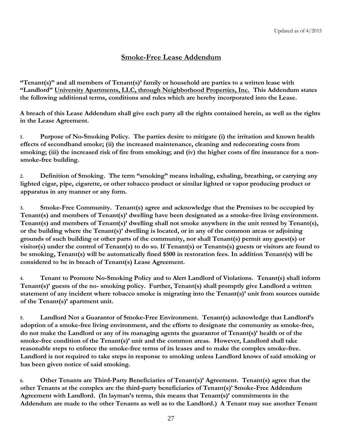## **Smoke-Free Lease Addendum**

**"Tenant(s)" and all members of Tenant(s)' family or household are parties to a written lease with "Landlord" University Apartments, LLC, through Neighborhood Properties, Inc. This Addendum states the following additional terms, conditions and rules which are hereby incorporated into the Lease.** 

**A breach of this Lease Addendum shall give each party all the rights contained herein, as well as the rights in the Lease Agreement.** 

**1. Purpose of No-Smoking Policy. The parties desire to mitigate (i) the irritation and known health effects of secondhand smoke; (ii) the increased maintenance, cleaning and redecorating costs from smoking; (iii) the increased risk of fire from smoking; and (iv) the higher costs of fire insurance for a nonsmoke-free building.** 

**2. Definition of Smoking. The term "smoking" means inhaling, exhaling, breathing, or carrying any lighted cigar, pipe, cigarette, or other tobacco product or similar lighted or vapor producing product or apparatus in any manner or any form.** 

**3. Smoke-Free Community. Tenant(s) agree and acknowledge that the Premises to be occupied by Tenant(s) and members of Tenant(s)' dwelling have been designated as a smoke-free living environment. Tenant(s) and members of Tenant(s)' dwelling shall not smoke anywhere in the unit rented by Tenant(s), or the building where the Tenant(s)' dwelling is located, or in any of the common areas or adjoining grounds of such building or other parts of the community, nor shall Tenant(s) permit any guest(s) or visitor(s) under the control of Tenant(s) to do so. If Tenant(s) or Tenants(s) guests or visitors are found to be smoking, Tenant(s) will be automatically fined \$500 in restoration fees. In addition Tenant(s) will be considered to be in breach of Tenant(s) Lease Agreement.** 

**4. Tenant to Promote No-Smoking Policy and to Alert Landlord of Violations. Tenant(s) shall inform Tenant(s)' guests of the no- smoking policy. Further, Tenant(s) shall promptly give Landlord a written statement of any incident where tobacco smoke is migrating into the Tenant(s)' unit from sources outside of the Tenant(s)' apartment unit.** 

**5. Landlord Not a Guarantor of Smoke-Free Environment. Tenant(s) acknowledge that Landlord's adoption of a smoke-free living environment, and the efforts to designate the community as smoke-free, do not make the Landlord or any of its managing agents the guarantor of Tenant(s)' health or of the smoke-free condition of the Tenant(s)' unit and the common areas. However, Landlord shall take reasonable steps to enforce the smoke-free terms of its leases and to make the complex smoke-free. Landlord is not required to take steps in response to smoking unless Landlord knows of said smoking or has been given notice of said smoking.** 

**6. Other Tenants are Third-Party Beneficiaries of Tenant(s)' Agreement. Tenant(s) agree that the other Tenants at the complex are the third-party beneficiaries of Tenant(s)' Smoke-Free Addendum Agreement with Landlord. (In layman's terms, this means that Tenant(s)' commitments in the Addendum are made to the other Tenants as well as to the Landlord.) A Tenant may sue another Tenant**